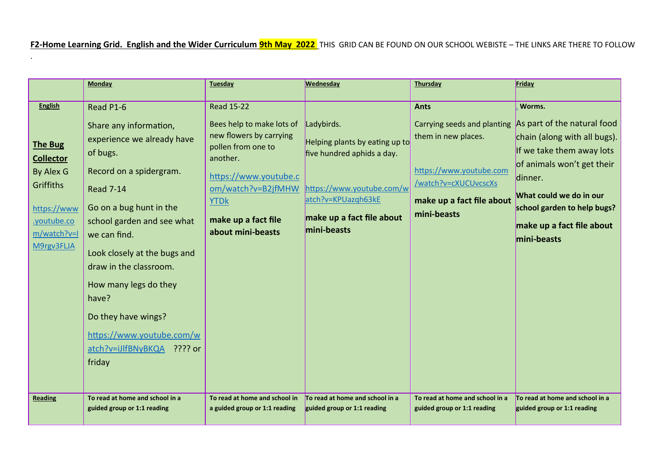**F2-Home Learning Grid. English and the Wider Curriculum 9th May 2022** THIS GRID CAN BE FOUND ON OUR SCHOOL WEBISTE – THE LINKS ARE THERE TO FOLLOW

.

|                  | <b>Monday</b>                   | <b>Tuesday</b>                | <b>Wednesday</b>                | Thursday                        | Friday                          |
|------------------|---------------------------------|-------------------------------|---------------------------------|---------------------------------|---------------------------------|
|                  |                                 |                               |                                 |                                 |                                 |
| <b>English</b>   | Read P1-6                       | <b>Read 15-22</b>             |                                 | <b>Ants</b>                     | Worms.                          |
|                  | Share any information,          | Bees help to make lots of     | Ladybirds.                      | Carrying seeds and planting     | As part of the natural food     |
|                  | experience we already have      | new flowers by carrying       | Helping plants by eating up to  | them in new places.             | chain (along with all bugs).    |
| <b>The Bug</b>   | of bugs.                        | pollen from one to            | five hundred aphids a day.      |                                 | If we take them away lots       |
| <b>Collector</b> |                                 | another.                      |                                 |                                 | of animals won't get their      |
| By Alex G        | Record on a spidergram.         | https://www.youtube.c         |                                 | https://www.youtube.com         | dinner.                         |
| <b>Griffiths</b> | <b>Read 7-14</b>                | om/watch?v=B2jfMHW            | https://www.youtube.com/w       | /watch?v=cXUCUvcscXs            | What could we do in our         |
| https://www      | Go on a bug hunt in the         | <b>YTDk</b>                   | atch?v=KPUazqh63kE              | make up a fact file about       | school garden to help bugs?     |
| .youtube.co      | school garden and see what      | make up a fact file           | make up a fact file about       | mini-beasts                     |                                 |
| m/watch?v=I      | we can find.                    | about mini-beasts             | mini-beasts                     |                                 | make up a fact file about       |
| M9rgv3FLJA       |                                 |                               |                                 |                                 | mini-beasts                     |
|                  | Look closely at the bugs and    |                               |                                 |                                 |                                 |
|                  | draw in the classroom.          |                               |                                 |                                 |                                 |
|                  | How many legs do they           |                               |                                 |                                 |                                 |
|                  | have?                           |                               |                                 |                                 |                                 |
|                  |                                 |                               |                                 |                                 |                                 |
|                  | Do they have wings?             |                               |                                 |                                 |                                 |
|                  | https://www.youtube.com/w       |                               |                                 |                                 |                                 |
|                  | atch?v=iJlfBNyBKQA ???? or      |                               |                                 |                                 |                                 |
|                  | friday                          |                               |                                 |                                 |                                 |
|                  |                                 |                               |                                 |                                 |                                 |
|                  |                                 |                               |                                 |                                 |                                 |
| <b>Reading</b>   | To read at home and school in a | To read at home and school in | To read at home and school in a | To read at home and school in a | To read at home and school in a |
|                  | guided group or 1:1 reading     | a guided group or 1:1 reading | guided group or 1:1 reading     | guided group or 1:1 reading     | guided group or 1:1 reading     |